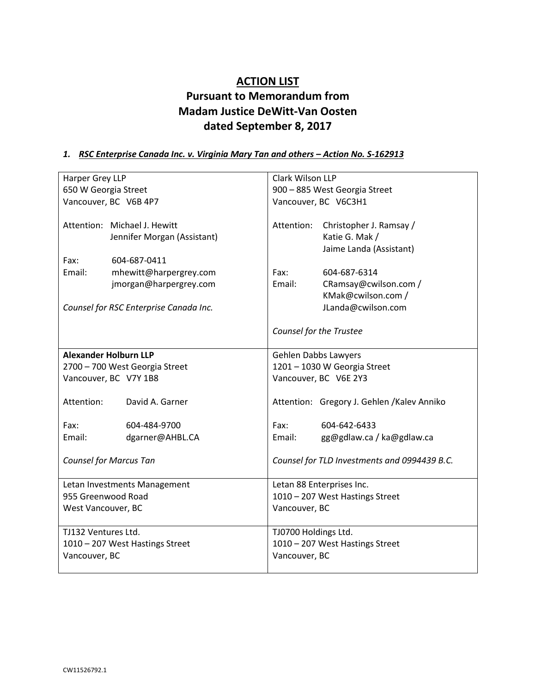# **ACTION LIST Pursuant to Memorandum from Madam Justice DeWitt-Van Oosten dated September 8, 2017**

### 1. *RSC Enterprise Canada Inc. v. Virginia Mary Tan and others - Action No. S-162913*

| Harper Grey LLP                 |                                        | Clark Wilson LLP                |                                              |
|---------------------------------|----------------------------------------|---------------------------------|----------------------------------------------|
| 650 W Georgia Street            |                                        | 900 - 885 West Georgia Street   |                                              |
| Vancouver, BC V6B 4P7           |                                        | Vancouver, BC V6C3H1            |                                              |
|                                 |                                        |                                 |                                              |
|                                 | Attention: Michael J. Hewitt           | Attention:                      | Christopher J. Ramsay /                      |
|                                 | Jennifer Morgan (Assistant)            |                                 | Katie G. Mak /                               |
|                                 |                                        |                                 | Jaime Landa (Assistant)                      |
| Fax:                            | 604-687-0411                           |                                 |                                              |
| Email:                          | mhewitt@harpergrey.com                 | Fax:                            | 604-687-6314                                 |
|                                 | jmorgan@harpergrey.com                 | Email:                          | CRamsay@cwilson.com /                        |
|                                 |                                        |                                 | KMak@cwilson.com /                           |
|                                 | Counsel for RSC Enterprise Canada Inc. |                                 | JLanda@cwilson.com                           |
|                                 |                                        |                                 |                                              |
|                                 |                                        |                                 | Counsel for the Trustee                      |
|                                 |                                        |                                 |                                              |
| <b>Alexander Holburn LLP</b>    |                                        | Gehlen Dabbs Lawyers            |                                              |
| 2700 - 700 West Georgia Street  |                                        | 1201 - 1030 W Georgia Street    |                                              |
| Vancouver, BC V7Y 1B8           |                                        |                                 | Vancouver, BC V6E 2Y3                        |
|                                 |                                        |                                 |                                              |
| Attention:                      | David A. Garner                        |                                 | Attention: Gregory J. Gehlen /Kalev Anniko   |
|                                 |                                        |                                 |                                              |
| Fax:                            | 604-484-9700                           | Fax:                            | 604-642-6433                                 |
| Email:                          | dgarner@AHBL.CA                        | Email:                          | gg@gdlaw.ca / ka@gdlaw.ca                    |
|                                 |                                        |                                 |                                              |
|                                 | <b>Counsel for Marcus Tan</b>          |                                 | Counsel for TLD Investments and 0994439 B.C. |
|                                 |                                        |                                 |                                              |
| Letan Investments Management    |                                        | Letan 88 Enterprises Inc.       |                                              |
| 955 Greenwood Road              |                                        | 1010 - 207 West Hastings Street |                                              |
| West Vancouver, BC              |                                        | Vancouver, BC                   |                                              |
|                                 |                                        |                                 |                                              |
| TJ132 Ventures Ltd.             |                                        | TJ0700 Holdings Ltd.            |                                              |
| 1010 - 207 West Hastings Street |                                        | 1010 - 207 West Hastings Street |                                              |
| Vancouver, BC                   |                                        | Vancouver, BC                   |                                              |
|                                 |                                        |                                 |                                              |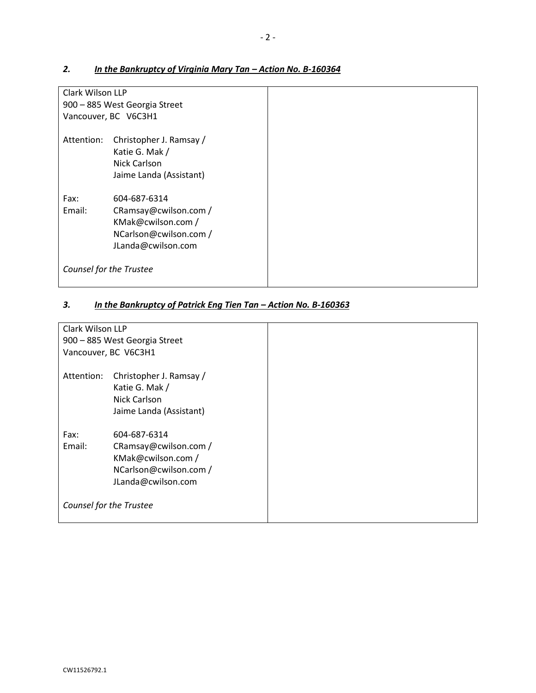# Clark Wilson LLP 900 – 885 West Georgia Street Vancouver, BC V6C3H1 Attention: Christopher J. Ramsay / Katie G. Mak / Nick Carlson Jaime Landa (Assistant) Fax: 604-687-6314 Email: CRamsay@cwilson.com / KMak@cwilson.com / NCarlson@cwilson.com / JLanda@cwilson.com *Counsel for the Trustee*

### 2. *In the Bankruptcy of Virginia Mary Tan - Action No. B-160364*

### 3. *In the Bankruptcy of Patrick Eng Tien Tan – Action No. B-160363*

| Clark Wilson LLP        |                                                                                                             |  |
|-------------------------|-------------------------------------------------------------------------------------------------------------|--|
|                         | 900 - 885 West Georgia Street                                                                               |  |
|                         | Vancouver, BC V6C3H1                                                                                        |  |
| Attention:              | Christopher J. Ramsay /<br>Katie G. Mak /<br>Nick Carlson<br>Jaime Landa (Assistant)                        |  |
| Fax:<br>Email:          | 604-687-6314<br>CRamsay@cwilson.com /<br>KMak@cwilson.com /<br>NCarlson@cwilson.com /<br>JLanda@cwilson.com |  |
| Counsel for the Trustee |                                                                                                             |  |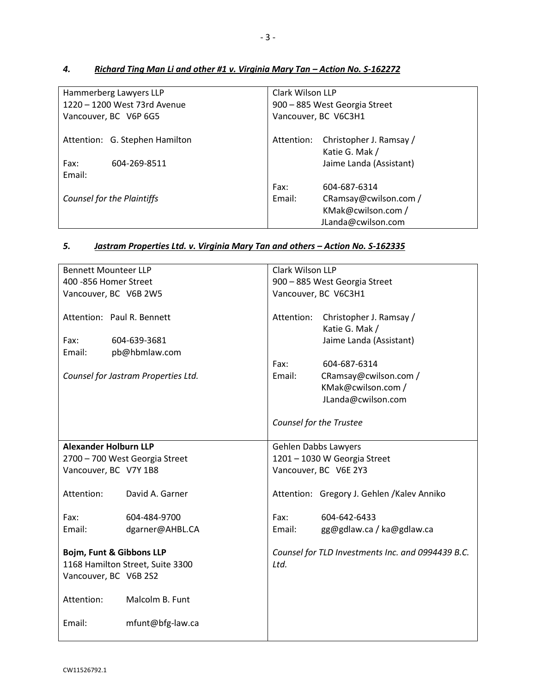| Hammerberg Lawyers LLP         | Clark Wilson LLP                      |  |
|--------------------------------|---------------------------------------|--|
| 1220 - 1200 West 73rd Avenue   | 900 - 885 West Georgia Street         |  |
| Vancouver, BC V6P 6G5          | Vancouver, BC V6C3H1                  |  |
|                                |                                       |  |
| Attention: G. Stephen Hamilton | Christopher J. Ramsay /<br>Attention: |  |
|                                | Katie G. Mak /                        |  |
| Fax:<br>604-269-8511           | Jaime Landa (Assistant)               |  |
| Email:                         |                                       |  |
|                                | Fax:<br>604-687-6314                  |  |
| Counsel for the Plaintiffs     | CRamsay@cwilson.com /<br>Email:       |  |
|                                | KMak@cwilson.com /                    |  |
|                                |                                       |  |
|                                | JLanda@cwilson.com                    |  |

## *4. Richard Ting Man Li and other #1 v. Virginia Mary Tan – Action No. S-162272*

### *5. Jastram Properties Ltd. v. Virginia Mary Tan and others – Action No. S-162335*

| <b>Bennett Mounteer LLP</b>                                  |                                     | Clark Wilson LLP              |                                                   |
|--------------------------------------------------------------|-------------------------------------|-------------------------------|---------------------------------------------------|
| 400 - 856 Homer Street                                       |                                     | 900 - 885 West Georgia Street |                                                   |
| Vancouver, BC V6B 2W5                                        |                                     | Vancouver, BC V6C3H1          |                                                   |
|                                                              | Attention: Paul R. Bennett          | Attention:                    | Christopher J. Ramsay /<br>Katie G. Mak /         |
| Fax:                                                         | 604-639-3681                        |                               | Jaime Landa (Assistant)                           |
| Email:                                                       | pb@hbmlaw.com                       |                               |                                                   |
|                                                              |                                     | Fax:                          | 604-687-6314                                      |
|                                                              | Counsel for Jastram Properties Ltd. | Email:                        | CRamsay@cwilson.com /                             |
|                                                              |                                     |                               | KMak@cwilson.com /                                |
|                                                              |                                     |                               | JLanda@cwilson.com                                |
|                                                              |                                     |                               |                                                   |
|                                                              |                                     |                               | Counsel for the Trustee                           |
| <b>Alexander Holburn LLP</b>                                 |                                     | Gehlen Dabbs Lawyers          |                                                   |
|                                                              | 2700 - 700 West Georgia Street      | 1201 - 1030 W Georgia Street  |                                                   |
| Vancouver, BC V7Y 1B8                                        |                                     |                               | Vancouver, BC V6E 2Y3                             |
| Attention:                                                   | David A. Garner                     |                               | Attention: Gregory J. Gehlen / Kalev Anniko       |
|                                                              |                                     |                               |                                                   |
| Fax:                                                         | 604-484-9700                        | Fax:                          | 604-642-6433                                      |
| Email:                                                       | dgarner@AHBL.CA                     | Email:                        | gg@gdlaw.ca / ka@gdlaw.ca                         |
|                                                              |                                     |                               | Counsel for TLD Investments Inc. and 0994439 B.C. |
| Bojm, Funt & Gibbons LLP<br>1168 Hamilton Street, Suite 3300 |                                     | Ltd.                          |                                                   |
| Vancouver, BC V6B 2S2                                        |                                     |                               |                                                   |
|                                                              |                                     |                               |                                                   |
| Attention:                                                   | Malcolm B. Funt                     |                               |                                                   |
| Email:                                                       | mfunt@bfg-law.ca                    |                               |                                                   |
|                                                              |                                     |                               |                                                   |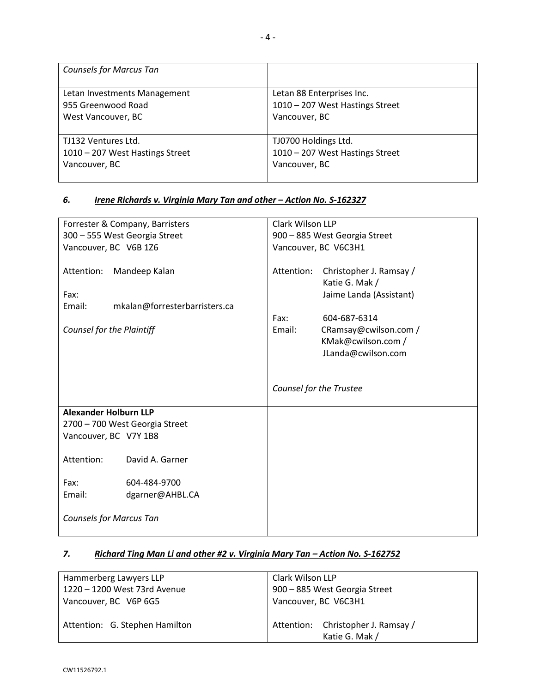| <b>Counsels for Marcus Tan</b>  |                                 |
|---------------------------------|---------------------------------|
| Letan Investments Management    | Letan 88 Enterprises Inc.       |
| 955 Greenwood Road              | 1010 - 207 West Hastings Street |
| West Vancouver, BC              | Vancouver, BC                   |
| TJ132 Ventures Ltd.             | TJ0700 Holdings Ltd.            |
| 1010 - 207 West Hastings Street | 1010 - 207 West Hastings Street |
| Vancouver, BC                   | Vancouver, BC                   |

### *6. Irene Richards v. Virginia Mary Tan and other – Action No. S-162327*

| Forrester & Company, Barristers |                                | Clark Wilson LLP              |                                       |
|---------------------------------|--------------------------------|-------------------------------|---------------------------------------|
| 300 - 555 West Georgia Street   |                                | 900 - 885 West Georgia Street |                                       |
| Vancouver, BC V6B 1Z6           |                                |                               | Vancouver, BC V6C3H1                  |
|                                 |                                |                               |                                       |
| Attention:                      | Mandeep Kalan                  | Attention:                    | Christopher J. Ramsay /               |
|                                 |                                |                               | Katie G. Mak /                        |
| Fax:                            |                                |                               | Jaime Landa (Assistant)               |
| Email:                          | mkalan@forresterbarristers.ca  |                               |                                       |
| Counsel for the Plaintiff       |                                | Fax:<br>Email:                | 604-687-6314<br>CRamsay@cwilson.com / |
|                                 |                                |                               | KMak@cwilson.com /                    |
|                                 |                                |                               | JLanda@cwilson.com                    |
|                                 |                                |                               |                                       |
|                                 |                                |                               |                                       |
|                                 |                                |                               | Counsel for the Trustee               |
|                                 |                                |                               |                                       |
| <b>Alexander Holburn LLP</b>    |                                |                               |                                       |
|                                 | 2700 - 700 West Georgia Street |                               |                                       |
| Vancouver, BC V7Y 1B8           |                                |                               |                                       |
|                                 |                                |                               |                                       |
| Attention:                      | David A. Garner                |                               |                                       |
| Fax:                            | 604-484-9700                   |                               |                                       |
| Email:                          |                                |                               |                                       |
|                                 | dgarner@AHBL.CA                |                               |                                       |
| <b>Counsels for Marcus Tan</b>  |                                |                               |                                       |
|                                 |                                |                               |                                       |
|                                 |                                |                               |                                       |

### *7. Richard Ting Man Li and other #2 v. Virginia Mary Tan – Action No. S-162752*

| Clark Wilson LLP                   |  |
|------------------------------------|--|
| 900 - 885 West Georgia Street      |  |
| Vancouver, BC V6C3H1               |  |
|                                    |  |
| Attention: Christopher J. Ramsay / |  |
| Katie G. Mak /                     |  |
|                                    |  |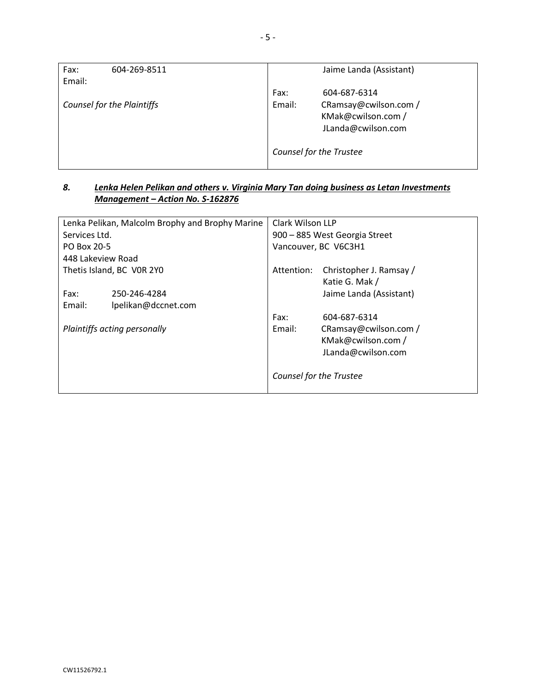| Fax:   | 604-269-8511               |        | Jaime Landa (Assistant)        |
|--------|----------------------------|--------|--------------------------------|
| Email: |                            |        |                                |
|        |                            | Fax:   | 604-687-6314                   |
|        | Counsel for the Plaintiffs | Email: | CRamsay@cwilson.com /          |
|        |                            |        | KMak@cwilson.com /             |
|        |                            |        | JLanda@cwilson.com             |
|        |                            |        |                                |
|        |                            |        | <b>Counsel for the Trustee</b> |
|        |                            |        |                                |

#### *8. Lenka Helen Pelikan and others v. Virginia Mary Tan doing business as Letan Investments Management – Action No. S-162876*

| Lenka Pelikan, Malcolm Brophy and Brophy Marine |                     | Clark Wilson LLP              |                                           |
|-------------------------------------------------|---------------------|-------------------------------|-------------------------------------------|
| Services Ltd.                                   |                     | 900 - 885 West Georgia Street |                                           |
| PO Box 20-5                                     |                     | Vancouver, BC V6C3H1          |                                           |
| 448 Lakeview Road                               |                     |                               |                                           |
| Thetis Island, BC VOR 2YO                       |                     | Attention:                    | Christopher J. Ramsay /<br>Katie G. Mak / |
| Fax:                                            | 250-246-4284        |                               | Jaime Landa (Assistant)                   |
| Email:                                          | lpelikan@dccnet.com |                               |                                           |
|                                                 |                     | Fax:                          | 604-687-6314                              |
| Plaintiffs acting personally                    |                     | Email:                        | CRamsay@cwilson.com /                     |
|                                                 |                     |                               | KMak@cwilson.com /                        |
|                                                 |                     |                               | JLanda@cwilson.com                        |
|                                                 |                     |                               |                                           |
|                                                 |                     | Counsel for the Trustee       |                                           |
|                                                 |                     |                               |                                           |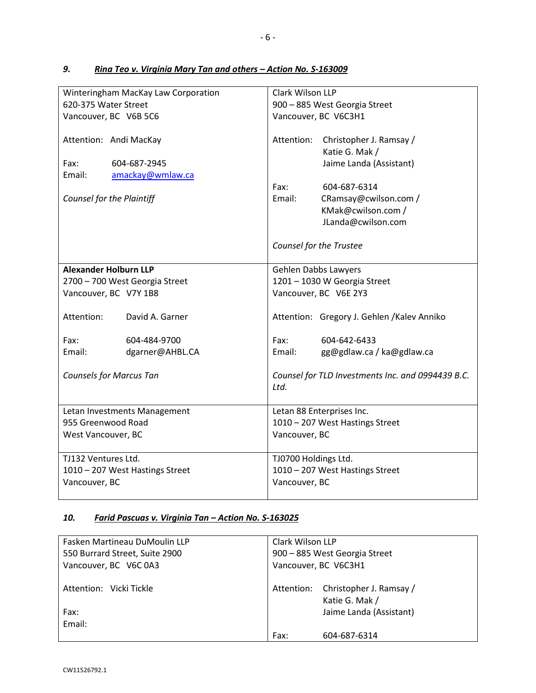| Winteringham MacKay Law Corporation<br>620-375 Water Street<br>Vancouver, BC V6B 5C6 | Clark Wilson LLP<br>900 - 885 West Georgia Street<br>Vancouver, BC V6C3H1                           |  |
|--------------------------------------------------------------------------------------|-----------------------------------------------------------------------------------------------------|--|
| Attention: Andi MacKay<br>604-687-2945<br>Fax:<br>Email:                             | Attention:<br>Christopher J. Ramsay /<br>Katie G. Mak /<br>Jaime Landa (Assistant)                  |  |
| amackay@wmlaw.ca<br>Counsel for the Plaintiff                                        | Fax:<br>604-687-6314<br>Email:<br>CRamsay@cwilson.com /<br>KMak@cwilson.com /<br>JLanda@cwilson.com |  |
|                                                                                      | Counsel for the Trustee                                                                             |  |
| <b>Alexander Holburn LLP</b>                                                         | Gehlen Dabbs Lawyers                                                                                |  |
| 2700 - 700 West Georgia Street                                                       | 1201 - 1030 W Georgia Street                                                                        |  |
| Vancouver, BC V7Y 1B8                                                                | Vancouver, BC V6E 2Y3                                                                               |  |
| Attention:<br>David A. Garner                                                        | Attention: Gregory J. Gehlen /Kalev Anniko                                                          |  |
| Fax:<br>604-484-9700                                                                 | Fax:<br>604-642-6433                                                                                |  |
| Email:<br>dgarner@AHBL.CA                                                            | Email:<br>gg@gdlaw.ca / ka@gdlaw.ca                                                                 |  |
| <b>Counsels for Marcus Tan</b>                                                       | Counsel for TLD Investments Inc. and 0994439 B.C.<br>Ltd.                                           |  |
| Letan Investments Management                                                         | Letan 88 Enterprises Inc.                                                                           |  |
| 955 Greenwood Road                                                                   | 1010 - 207 West Hastings Street                                                                     |  |
| West Vancouver, BC                                                                   | Vancouver, BC                                                                                       |  |
| TJ132 Ventures Ltd.                                                                  | TJ0700 Holdings Ltd.                                                                                |  |
| 1010 - 207 West Hastings Street                                                      | 1010 - 207 West Hastings Street                                                                     |  |
| Vancouver, BC                                                                        | Vancouver, BC                                                                                       |  |
|                                                                                      |                                                                                                     |  |

## *9. Rina Teo v. Virginia Mary Tan and others – Action No. S-163009*

### *10. Farid Pascuas v. Virginia Tan – Action No. S-163025*

| Fasken Martineau DuMoulin LLP  | Clark Wilson LLP              |                         |
|--------------------------------|-------------------------------|-------------------------|
| 550 Burrard Street, Suite 2900 | 900 - 885 West Georgia Street |                         |
| Vancouver, BC V6C 0A3          | Vancouver, BC V6C3H1          |                         |
|                                |                               |                         |
| Attention: Vicki Tickle        | Attention:                    | Christopher J. Ramsay / |
|                                |                               | Katie G. Mak /          |
| Fax:                           |                               | Jaime Landa (Assistant) |
| Email:                         |                               |                         |
|                                | Fax:                          | 604-687-6314            |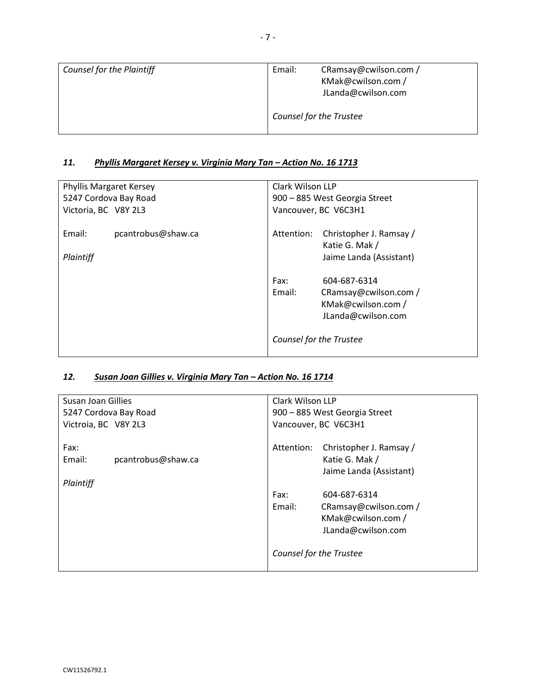| <b>Counsel for the Plaintiff</b> | Email: | CRamsay@cwilson.com /<br>KMak@cwilson.com /<br>JLanda@cwilson.com |
|----------------------------------|--------|-------------------------------------------------------------------|
|                                  |        | <b>Counsel for the Trustee</b>                                    |

## *11. Phyllis Margaret Kersey v. Virginia Mary Tan – Action No. 16 1713*

| <b>Phyllis Margaret Kersey</b><br>5247 Cordova Bay Road | Clark Wilson LLP<br>900 - 885 West Georgia Street                                                   |
|---------------------------------------------------------|-----------------------------------------------------------------------------------------------------|
| Victoria, BC V8Y 2L3                                    | Vancouver, BC V6C3H1                                                                                |
| Email:<br>pcantrobus@shaw.ca<br>Plaintiff               | Christopher J. Ramsay /<br>Attention:<br>Katie G. Mak /<br>Jaime Landa (Assistant)                  |
|                                                         | Fax:<br>604-687-6314<br>CRamsay@cwilson.com /<br>Email:<br>KMak@cwilson.com /<br>JLanda@cwilson.com |
|                                                         | Counsel for the Trustee                                                                             |

## *12. Susan Joan Gillies v. Virginia Mary Tan – Action No. 16 1714*

| Susan Joan Gillies<br>5247 Cordova Bay Road       | Clark Wilson LLP<br>900 - 885 West Georgia Street                                                   |  |
|---------------------------------------------------|-----------------------------------------------------------------------------------------------------|--|
| Victroia, BC V8Y 2L3                              | Vancouver, BC V6C3H1                                                                                |  |
| Fax:<br>Email:<br>pcantrobus@shaw.ca<br>Plaintiff | Christopher J. Ramsay /<br>Attention:<br>Katie G. Mak /<br>Jaime Landa (Assistant)                  |  |
|                                                   | Fax:<br>604-687-6314<br>Email:<br>CRamsay@cwilson.com /<br>KMak@cwilson.com /<br>JLanda@cwilson.com |  |
|                                                   | Counsel for the Trustee                                                                             |  |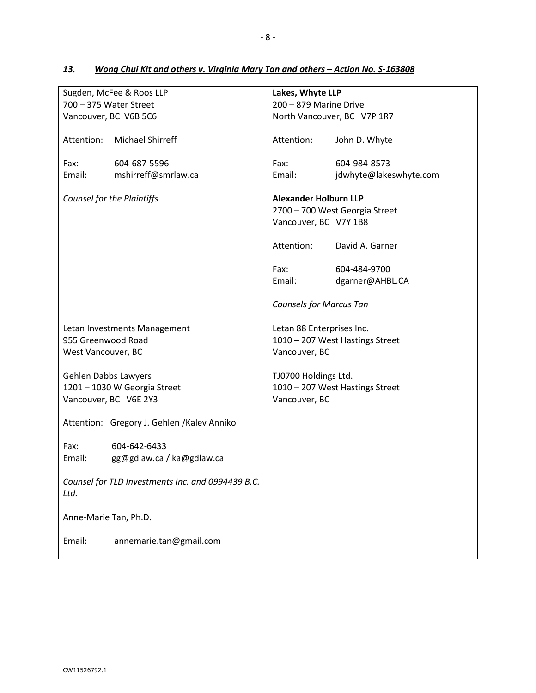|                        | Sugden, McFee & Roos LLP                          | Lakes, Whyte LLP                |                                 |
|------------------------|---------------------------------------------------|---------------------------------|---------------------------------|
| 700 - 375 Water Street |                                                   | 200 - 879 Marine Drive          |                                 |
|                        | Vancouver, BC V6B 5C6                             | North Vancouver, BC V7P 1R7     |                                 |
| Attention:             | <b>Michael Shirreff</b>                           | Attention:                      | John D. Whyte                   |
| Fax:                   | 604-687-5596                                      | Fax:                            | 604-984-8573                    |
| Email:                 | mshirreff@smrlaw.ca                               | Email:                          | jdwhyte@lakeswhyte.com          |
|                        | Counsel for the Plaintiffs                        | <b>Alexander Holburn LLP</b>    |                                 |
|                        |                                                   |                                 | 2700 - 700 West Georgia Street  |
|                        |                                                   | Vancouver, BC V7Y 1B8           |                                 |
|                        |                                                   | Attention:                      | David A. Garner                 |
|                        |                                                   | Fax:                            | 604-484-9700                    |
|                        |                                                   | Email:                          | dgarner@AHBL.CA                 |
|                        |                                                   |                                 |                                 |
|                        |                                                   | <b>Counsels for Marcus Tan</b>  |                                 |
|                        | Letan Investments Management                      | Letan 88 Enterprises Inc.       |                                 |
| 955 Greenwood Road     |                                                   | 1010 - 207 West Hastings Street |                                 |
| West Vancouver, BC     |                                                   | Vancouver, BC                   |                                 |
| Gehlen Dabbs Lawyers   |                                                   | TJ0700 Holdings Ltd.            |                                 |
|                        | 1201 - 1030 W Georgia Street                      |                                 | 1010 - 207 West Hastings Street |
|                        | Vancouver, BC V6E 2Y3                             | Vancouver, BC                   |                                 |
|                        | Attention: Gregory J. Gehlen /Kalev Anniko        |                                 |                                 |
| Fax:                   | 604-642-6433                                      |                                 |                                 |
| Email:                 | gg@gdlaw.ca / ka@gdlaw.ca                         |                                 |                                 |
|                        |                                                   |                                 |                                 |
| Ltd.                   | Counsel for TLD Investments Inc. and 0994439 B.C. |                                 |                                 |
| Anne-Marie Tan, Ph.D.  |                                                   |                                 |                                 |
| Email:                 | annemarie.tan@gmail.com                           |                                 |                                 |

## 13. *Wong Chui Kit and others v. Virginia Mary Tan and others - Action No. S-163808*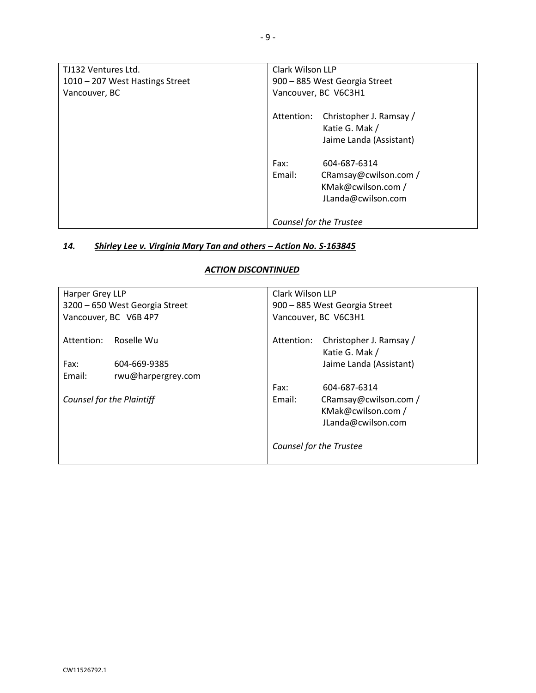| TJ132 Ventures Ltd.             | Clark Wilson LLP                      |  |
|---------------------------------|---------------------------------------|--|
| 1010 - 207 West Hastings Street | 900 - 885 West Georgia Street         |  |
| Vancouver, BC                   | Vancouver, BC V6C3H1                  |  |
|                                 | Christopher J. Ramsay /<br>Attention: |  |
|                                 | Katie G. Mak /                        |  |
|                                 | Jaime Landa (Assistant)               |  |
|                                 | Fax:<br>604-687-6314                  |  |
|                                 | Email:<br>CRamsay@cwilson.com /       |  |
|                                 | KMak@cwilson.com /                    |  |
|                                 | JLanda@cwilson.com                    |  |
|                                 | Counsel for the Trustee               |  |

### *14. Shirley Lee v. Virginia Mary Tan and others – Action No. S-163845*

### *ACTION DISCONTINUED*

| Harper Grey LLP                |                                                  | Clark Wilson LLP                                                                |                                                                   |
|--------------------------------|--------------------------------------------------|---------------------------------------------------------------------------------|-------------------------------------------------------------------|
| 3200 - 650 West Georgia Street |                                                  | 900 - 885 West Georgia Street                                                   |                                                                   |
| Vancouver, BC V6B 4P7          |                                                  | Vancouver, BC V6C3H1                                                            |                                                                   |
| Attention:<br>Fax:<br>Email:   | Roselle Wu<br>604-669-9385<br>rwu@harpergrey.com | Attention: Christopher J. Ramsay /<br>Katie G. Mak /<br>Jaime Landa (Assistant) |                                                                   |
|                                |                                                  | Fax:                                                                            | 604-687-6314                                                      |
| Counsel for the Plaintiff      |                                                  | Email:                                                                          | CRamsay@cwilson.com /<br>KMak@cwilson.com /<br>JLanda@cwilson.com |
|                                |                                                  | Counsel for the Trustee                                                         |                                                                   |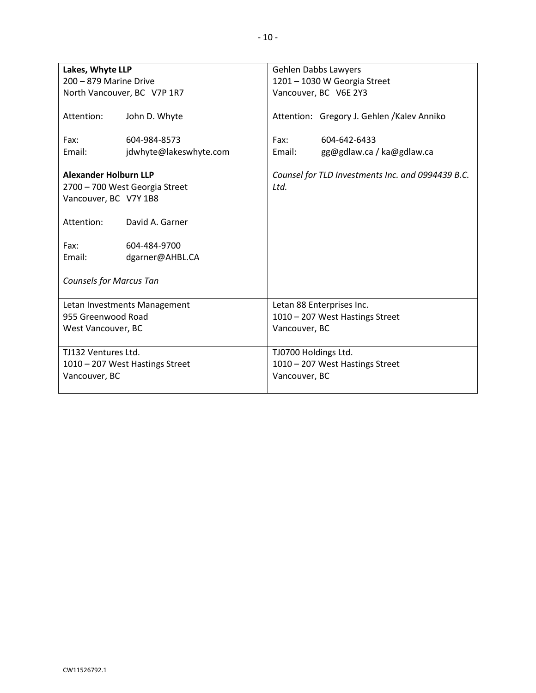| Lakes, Whyte LLP                                                    |                                                   |                                 | Gehlen Dabbs Lawyers                              |
|---------------------------------------------------------------------|---------------------------------------------------|---------------------------------|---------------------------------------------------|
| 200 - 879 Marine Drive                                              |                                                   | 1201 - 1030 W Georgia Street    |                                                   |
|                                                                     | North Vancouver, BC V7P 1R7                       |                                 | Vancouver, BC V6E 2Y3                             |
| Attention:                                                          | John D. Whyte                                     |                                 | Attention: Gregory J. Gehlen / Kalev Anniko       |
| Fax:                                                                | 604-984-8573                                      | Fax:                            | 604-642-6433                                      |
| Email:                                                              | jdwhyte@lakeswhyte.com                            | Email:                          | gg@gdlaw.ca / ka@gdlaw.ca                         |
| <b>Alexander Holburn LLP</b><br>Vancouver, BC V7Y 1B8<br>Attention: | 2700 - 700 West Georgia Street<br>David A. Garner | Ltd.                            | Counsel for TLD Investments Inc. and 0994439 B.C. |
| Fax:                                                                | 604-484-9700                                      |                                 |                                                   |
| Email:                                                              | dgarner@AHBL.CA                                   |                                 |                                                   |
| <b>Counsels for Marcus Tan</b>                                      |                                                   |                                 |                                                   |
|                                                                     | Letan Investments Management                      |                                 | Letan 88 Enterprises Inc.                         |
| 955 Greenwood Road                                                  |                                                   | 1010 - 207 West Hastings Street |                                                   |
| West Vancouver, BC                                                  |                                                   | Vancouver, BC                   |                                                   |
| TJ132 Ventures Ltd.                                                 |                                                   | TJ0700 Holdings Ltd.            |                                                   |
|                                                                     | 1010 - 207 West Hastings Street                   | 1010 - 207 West Hastings Street |                                                   |
| Vancouver, BC                                                       |                                                   | Vancouver, BC                   |                                                   |
|                                                                     |                                                   |                                 |                                                   |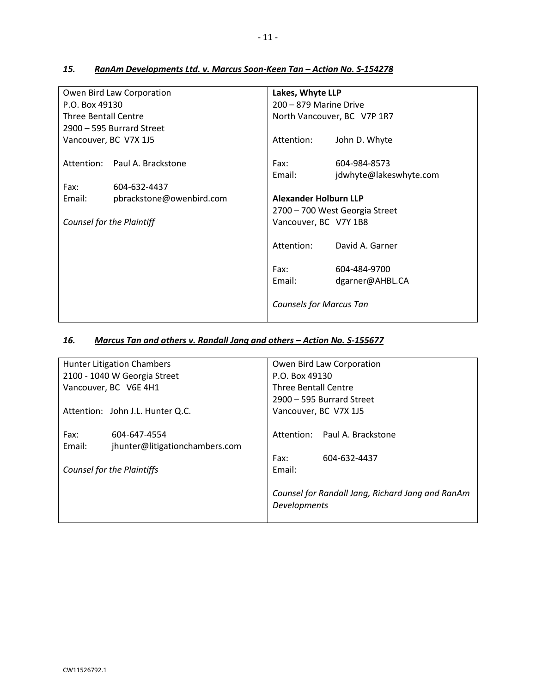|                             | Owen Bird Law Corporation     | Lakes, Whyte LLP               |                                |
|-----------------------------|-------------------------------|--------------------------------|--------------------------------|
| P.O. Box 49130              |                               | 200 - 879 Marine Drive         |                                |
| <b>Three Bentall Centre</b> |                               |                                | North Vancouver, BC V7P 1R7    |
|                             | 2900 - 595 Burrard Street     |                                |                                |
| Vancouver, BC V7X 1J5       |                               | Attention:                     | John D. Whyte                  |
|                             | Attention: Paul A. Brackstone | Fax:                           | 604-984-8573                   |
|                             |                               | Email:                         | jdwhyte@lakeswhyte.com         |
| Fax:                        | 604-632-4437                  |                                |                                |
| Email:                      | pbrackstone@owenbird.com      | <b>Alexander Holburn LLP</b>   |                                |
|                             |                               |                                | 2700 – 700 West Georgia Street |
| Counsel for the Plaintiff   |                               | Vancouver, BC V7Y 1B8          |                                |
|                             |                               | Attention:                     | David A. Garner                |
|                             |                               | Fax:                           | 604-484-9700                   |
|                             |                               | Email:                         | dgarner@AHBL.CA                |
|                             |                               | <b>Counsels for Marcus Tan</b> |                                |

## 15. **RanAm Developments Ltd. v. Marcus Soon-Keen Tan - Action No. S-154278**

## *16. Marcus Tan and others v. Randall Jang and others – Action No. S-155677*

|        | <b>Hunter Litigation Chambers</b> | Owen Bird Law Corporation   |                                                  |  |
|--------|-----------------------------------|-----------------------------|--------------------------------------------------|--|
|        | 2100 - 1040 W Georgia Street      | P.O. Box 49130              |                                                  |  |
|        | Vancouver, BC V6E 4H1             | <b>Three Bentall Centre</b> |                                                  |  |
|        |                                   | 2900 - 595 Burrard Street   |                                                  |  |
|        | Attention: John J.L. Hunter Q.C.  |                             | Vancouver, BC V7X 1J5                            |  |
|        |                                   |                             |                                                  |  |
| Fax:   | 604-647-4554                      |                             | Attention: Paul A. Brackstone                    |  |
| Email: | jhunter@litigationchambers.com    |                             |                                                  |  |
|        |                                   | Fax:                        | 604-632-4437                                     |  |
|        | <b>Counsel for the Plaintiffs</b> | Email:                      |                                                  |  |
|        |                                   |                             |                                                  |  |
|        |                                   |                             | Counsel for Randall Jang, Richard Jang and RanAm |  |
|        |                                   | <b>Developments</b>         |                                                  |  |
|        |                                   |                             |                                                  |  |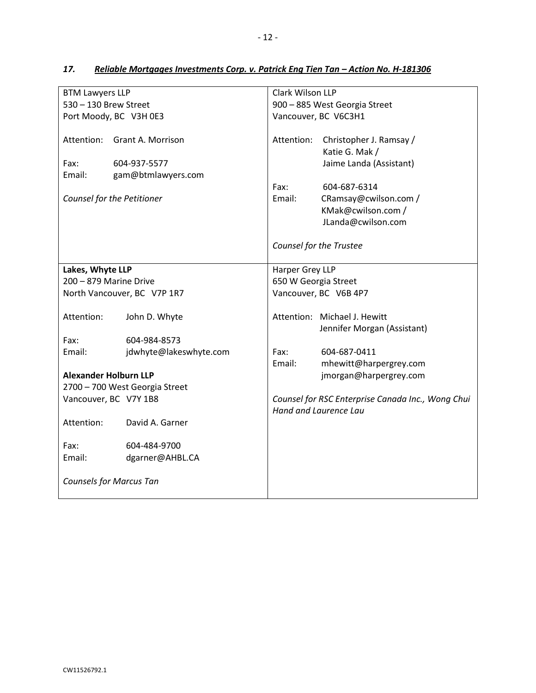| <b>BTM Lawyers LLP</b>         |                                | Clark Wilson LLP              |                                                   |  |
|--------------------------------|--------------------------------|-------------------------------|---------------------------------------------------|--|
| 530 - 130 Brew Street          |                                | 900 - 885 West Georgia Street |                                                   |  |
|                                | Port Moody, BC V3H 0E3         | Vancouver, BC V6C3H1          |                                                   |  |
|                                |                                |                               |                                                   |  |
|                                | Attention: Grant A. Morrison   | Attention:                    | Christopher J. Ramsay /                           |  |
|                                |                                |                               | Katie G. Mak /                                    |  |
| Fax:                           | 604-937-5577                   |                               | Jaime Landa (Assistant)                           |  |
| Email:                         | gam@btmlawyers.com             |                               |                                                   |  |
|                                |                                | Fax:                          | 604-687-6314                                      |  |
|                                | Counsel for the Petitioner     | Email:                        | CRamsay@cwilson.com /                             |  |
|                                |                                |                               | KMak@cwilson.com /                                |  |
|                                |                                |                               | JLanda@cwilson.com                                |  |
|                                |                                |                               |                                                   |  |
|                                |                                |                               | Counsel for the Trustee                           |  |
|                                |                                |                               |                                                   |  |
| Lakes, Whyte LLP               |                                | Harper Grey LLP               |                                                   |  |
| 200 - 879 Marine Drive         |                                | 650 W Georgia Street          |                                                   |  |
| North Vancouver, BC V7P 1R7    |                                | Vancouver, BC V6B 4P7         |                                                   |  |
|                                |                                |                               |                                                   |  |
| Attention:                     | John D. Whyte                  |                               | Attention: Michael J. Hewitt                      |  |
|                                |                                |                               | Jennifer Morgan (Assistant)                       |  |
| Fax:                           | 604-984-8573                   |                               |                                                   |  |
| Email:                         | jdwhyte@lakeswhyte.com         | Fax:                          | 604-687-0411                                      |  |
|                                |                                | Email:                        | mhewitt@harpergrey.com                            |  |
| <b>Alexander Holburn LLP</b>   |                                |                               | jmorgan@harpergrey.com                            |  |
|                                | 2700 - 700 West Georgia Street |                               |                                                   |  |
| Vancouver, BC V7Y 1B8          |                                |                               | Counsel for RSC Enterprise Canada Inc., Wong Chui |  |
|                                |                                |                               | Hand and Laurence Lau                             |  |
| Attention:                     | David A. Garner                |                               |                                                   |  |
|                                |                                |                               |                                                   |  |
| Fax:                           | 604-484-9700                   |                               |                                                   |  |
| Email:                         | dgarner@AHBL.CA                |                               |                                                   |  |
|                                |                                |                               |                                                   |  |
| <b>Counsels for Marcus Tan</b> |                                |                               |                                                   |  |
|                                |                                |                               |                                                   |  |

## 17. **Reliable Mortgages Investments Corp. v. Patrick Eng Tien Tan - Action No. H-181306**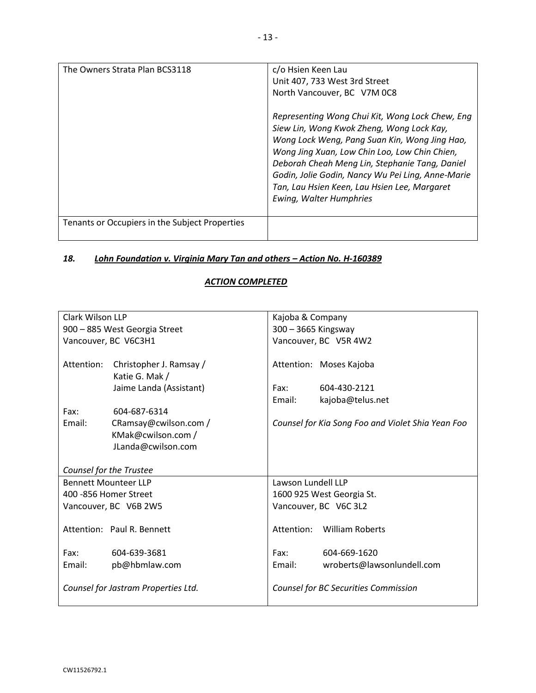| The Owners Strata Plan BCS3118                 | c/o Hsien Keen Lau<br>Unit 407, 733 West 3rd Street<br>North Vancouver, BC V7M 0C8<br>Representing Wong Chui Kit, Wong Lock Chew, Eng<br>Siew Lin, Wong Kwok Zheng, Wong Lock Kay,<br>Wong Lock Weng, Pang Suan Kin, Wong Jing Hao,<br>Wong Jing Xuan, Low Chin Loo, Low Chin Chien,<br>Deborah Cheah Meng Lin, Stephanie Tang, Daniel<br>Godin, Jolie Godin, Nancy Wu Pei Ling, Anne-Marie<br>Tan, Lau Hsien Keen, Lau Hsien Lee, Margaret<br>Ewing, Walter Humphries |
|------------------------------------------------|------------------------------------------------------------------------------------------------------------------------------------------------------------------------------------------------------------------------------------------------------------------------------------------------------------------------------------------------------------------------------------------------------------------------------------------------------------------------|
| Tenants or Occupiers in the Subject Properties |                                                                                                                                                                                                                                                                                                                                                                                                                                                                        |

## *18. Lohn Foundation v. Virginia Mary Tan and others – Action No. H-160389*

### *ACTION COMPLETED*

| Clark Wilson LLP                    |                               | Kajoba & Company          |                                                   |
|-------------------------------------|-------------------------------|---------------------------|---------------------------------------------------|
|                                     | 900 - 885 West Georgia Street | 300 - 3665 Kingsway       |                                                   |
|                                     | Vancouver, BC V6C3H1          |                           | Vancouver, BC V5R 4W2                             |
|                                     |                               |                           |                                                   |
| Attention:                          | Christopher J. Ramsay /       |                           | Attention: Moses Kajoba                           |
|                                     | Katie G. Mak /                |                           |                                                   |
|                                     | Jaime Landa (Assistant)       | Fax:                      | 604-430-2121                                      |
|                                     |                               | Email:                    | kajoba@telus.net                                  |
| Fax:                                | 604-687-6314                  |                           |                                                   |
| Email:                              | CRamsay@cwilson.com /         |                           | Counsel for Kia Song Foo and Violet Shia Yean Foo |
|                                     | KMak@cwilson.com /            |                           |                                                   |
|                                     | JLanda@cwilson.com            |                           |                                                   |
|                                     |                               |                           |                                                   |
|                                     | Counsel for the Trustee       |                           |                                                   |
| <b>Bennett Mounteer LLP</b>         |                               | Lawson Lundell LLP        |                                                   |
| 400 - 856 Homer Street              |                               | 1600 925 West Georgia St. |                                                   |
|                                     | Vancouver, BC V6B 2W5         | Vancouver, BC V6C 3L2     |                                                   |
|                                     |                               |                           |                                                   |
|                                     | Attention: Paul R. Bennett    |                           | Attention: William Roberts                        |
|                                     |                               |                           |                                                   |
| Fax:                                | 604-639-3681                  | Fax:                      | 604-669-1620                                      |
| Email:                              | pb@hbmlaw.com                 | Email:                    | wroberts@lawsonlundell.com                        |
|                                     |                               |                           |                                                   |
| Counsel for Jastram Properties Ltd. |                               |                           | Counsel for BC Securities Commission              |
|                                     |                               |                           |                                                   |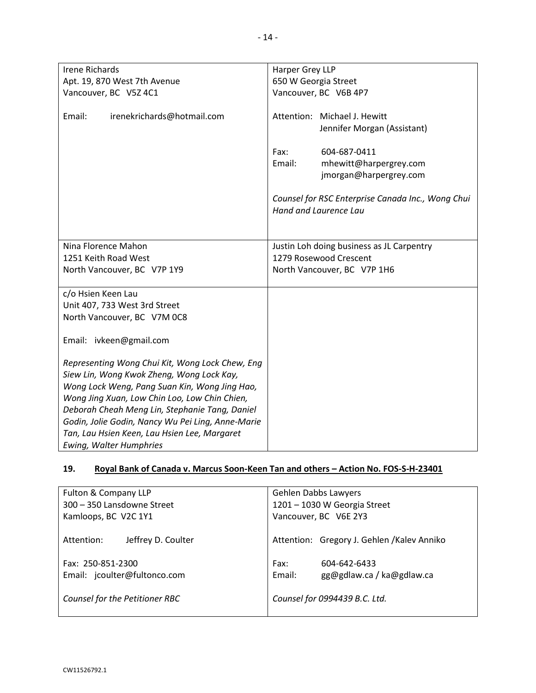| Harper Grey LLP                                   |  |  |
|---------------------------------------------------|--|--|
| 650 W Georgia Street                              |  |  |
| Vancouver, BC V6B 4P7                             |  |  |
|                                                   |  |  |
| Attention: Michael J. Hewitt                      |  |  |
| Jennifer Morgan (Assistant)                       |  |  |
|                                                   |  |  |
| 604-687-0411<br>Fax:                              |  |  |
| Email:<br>mhewitt@harpergrey.com                  |  |  |
| jmorgan@harpergrey.com                            |  |  |
|                                                   |  |  |
| Counsel for RSC Enterprise Canada Inc., Wong Chui |  |  |
| Hand and Laurence Lau                             |  |  |
|                                                   |  |  |
|                                                   |  |  |
| Justin Loh doing business as JL Carpentry         |  |  |
| 1279 Rosewood Crescent                            |  |  |
| North Vancouver, BC V7P 1H6                       |  |  |
|                                                   |  |  |
|                                                   |  |  |
|                                                   |  |  |
|                                                   |  |  |
|                                                   |  |  |
|                                                   |  |  |
|                                                   |  |  |
|                                                   |  |  |
|                                                   |  |  |
|                                                   |  |  |
|                                                   |  |  |
|                                                   |  |  |
|                                                   |  |  |
|                                                   |  |  |
|                                                   |  |  |
|                                                   |  |  |

## **19. Royal Bank of Canada v. Marcus Soon-Keen Tan and others – Action No. FOS-S-H-23401**

| Fulton & Company LLP             | Gehlen Dabbs Lawyers                        |  |
|----------------------------------|---------------------------------------------|--|
| 300 - 350 Lansdowne Street       | 1201 - 1030 W Georgia Street                |  |
| Kamloops, BC V2C 1Y1             | Vancouver, BC V6E 2Y3                       |  |
| Attention:<br>Jeffrey D. Coulter | Attention: Gregory J. Gehlen / Kalev Anniko |  |
| Fax: 250-851-2300                | 604-642-6433<br>Fax:                        |  |
| Email: jcoulter@fultonco.com     | Email:<br>gg@gdlaw.ca / ka@gdlaw.ca         |  |
|                                  |                                             |  |
| Counsel for the Petitioner RBC   | Counsel for 0994439 B.C. Ltd.               |  |
|                                  |                                             |  |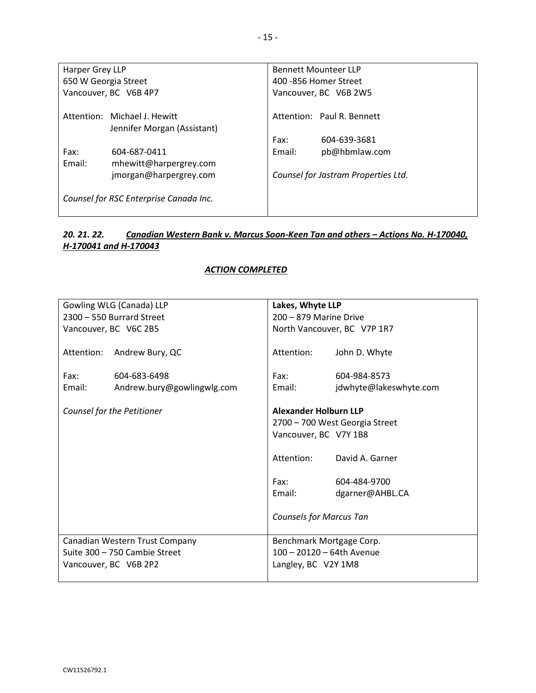| Harper Grey LLP      |                                                             |                       | <b>Bennett Mounteer LLP</b>         |
|----------------------|-------------------------------------------------------------|-----------------------|-------------------------------------|
| 650 W Georgia Street |                                                             | 400 -856 Homer Street |                                     |
|                      | Vancouver, BC V6B 4P7                                       | Vancouver, BC V6B 2W5 |                                     |
|                      | Attention: Michael J. Hewitt<br>Jennifer Morgan (Assistant) |                       | Attention: Paul R. Bennett          |
|                      |                                                             | Fax:                  | 604-639-3681                        |
| Fax:                 | 604-687-0411                                                | Email:                | pb@hbmlaw.com                       |
| Email:               | mhewitt@harpergrey.com                                      |                       |                                     |
|                      | jmorgan@harpergrey.com                                      |                       | Counsel for Jastram Properties Ltd. |
|                      | Counsel for RSC Enterprise Canada Inc.                      |                       |                                     |

### *20. 21. 22. Canadian Western Bank v. Marcus Soon-Keen Tan and others – Actions No. H-170040, H-170041 and H-170043*

#### *ACTION COMPLETED*

|            | Gowling WLG (Canada) LLP       | Lakes, Whyte LLP               |                        |
|------------|--------------------------------|--------------------------------|------------------------|
|            | 2300 - 550 Burrard Street      | 200 - 879 Marine Drive         |                        |
|            | Vancouver, BC V6C 2B5          | North Vancouver, BC V7P 1R7    |                        |
|            |                                |                                |                        |
| Attention: | Andrew Bury, QC                | Attention:                     | John D. Whyte          |
|            |                                |                                |                        |
| Fax:       | 604-683-6498                   | Fax:                           | 604-984-8573           |
| Email:     | Andrew.bury@gowlingwlg.com     | Email:                         | jdwhyte@lakeswhyte.com |
|            |                                |                                |                        |
|            | Counsel for the Petitioner     | <b>Alexander Holburn LLP</b>   |                        |
|            |                                | 2700 - 700 West Georgia Street |                        |
|            |                                | Vancouver, BC V7Y 1B8          |                        |
|            |                                |                                |                        |
|            |                                | Attention:                     | David A. Garner        |
|            |                                |                                |                        |
|            |                                | Fax:                           | 604-484-9700           |
|            |                                | Email:                         | dgarner@AHBL.CA        |
|            |                                |                                |                        |
|            |                                | <b>Counsels for Marcus Tan</b> |                        |
|            |                                |                                |                        |
|            | Canadian Western Trust Company | Benchmark Mortgage Corp.       |                        |
|            | Suite 300 - 750 Cambie Street  | 100 - 20120 - 64th Avenue      |                        |
|            | Vancouver, BC V6B 2P2          | Langley, BC V2Y 1M8            |                        |
|            |                                |                                |                        |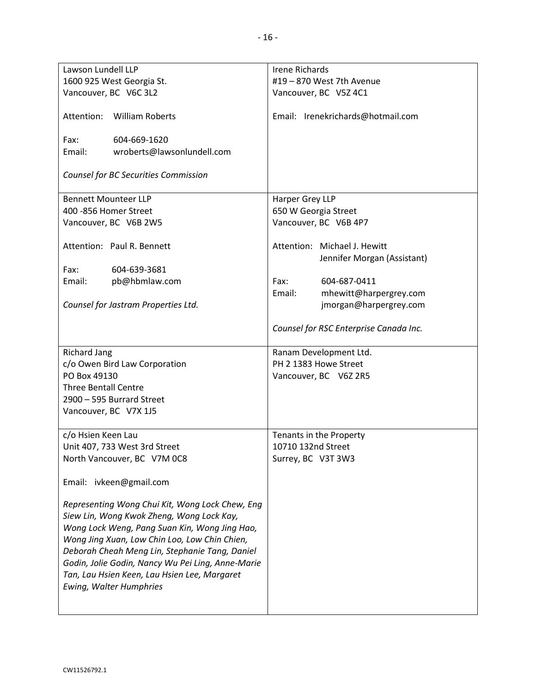| Lawson Lundell LLP                                | <b>Irene Richards</b>                  |
|---------------------------------------------------|----------------------------------------|
| 1600 925 West Georgia St.                         | #19 - 870 West 7th Avenue              |
|                                                   |                                        |
| Vancouver, BC V6C 3L2                             | Vancouver, BC V5Z 4C1                  |
| Attention:<br><b>William Roberts</b>              | Email: Irenekrichards@hotmail.com      |
| Fax:<br>604-669-1620                              |                                        |
| Email:<br>wroberts@lawsonlundell.com              |                                        |
|                                                   |                                        |
| Counsel for BC Securities Commission              |                                        |
| <b>Bennett Mounteer LLP</b>                       | Harper Grey LLP                        |
| 400 - 856 Homer Street                            | 650 W Georgia Street                   |
| Vancouver, BC V6B 2W5                             | Vancouver, BC V6B 4P7                  |
|                                                   |                                        |
| Attention: Paul R. Bennett                        | Attention: Michael J. Hewitt           |
|                                                   | Jennifer Morgan (Assistant)            |
| 604-639-3681<br>Fax:                              |                                        |
| Email:<br>pb@hbmlaw.com                           | Fax:<br>604-687-0411                   |
|                                                   | Email:                                 |
|                                                   | mhewitt@harpergrey.com                 |
| Counsel for Jastram Properties Ltd.               | jmorgan@harpergrey.com                 |
|                                                   | Counsel for RSC Enterprise Canada Inc. |
| <b>Richard Jang</b>                               | Ranam Development Ltd.                 |
| c/o Owen Bird Law Corporation                     | PH 2 1383 Howe Street                  |
| PO Box 49130                                      | Vancouver, BC V6Z 2R5                  |
| <b>Three Bentall Centre</b>                       |                                        |
| 2900 - 595 Burrard Street                         |                                        |
| Vancouver, BC V7X 1J5                             |                                        |
|                                                   |                                        |
| c/o Hsien Keen Lau                                | Tenants in the Property                |
| Unit 407, 733 West 3rd Street                     | 10710 132nd Street                     |
|                                                   |                                        |
| North Vancouver, BC V7M 0C8                       | Surrey, BC V3T 3W3                     |
| Email: ivkeen@gmail.com                           |                                        |
| Representing Wong Chui Kit, Wong Lock Chew, Eng   |                                        |
| Siew Lin, Wong Kwok Zheng, Wong Lock Kay,         |                                        |
|                                                   |                                        |
| Wong Lock Weng, Pang Suan Kin, Wong Jing Hao,     |                                        |
| Wong Jing Xuan, Low Chin Loo, Low Chin Chien,     |                                        |
| Deborah Cheah Meng Lin, Stephanie Tang, Daniel    |                                        |
| Godin, Jolie Godin, Nancy Wu Pei Ling, Anne-Marie |                                        |
| Tan, Lau Hsien Keen, Lau Hsien Lee, Margaret      |                                        |
| <b>Ewing, Walter Humphries</b>                    |                                        |
|                                                   |                                        |
|                                                   |                                        |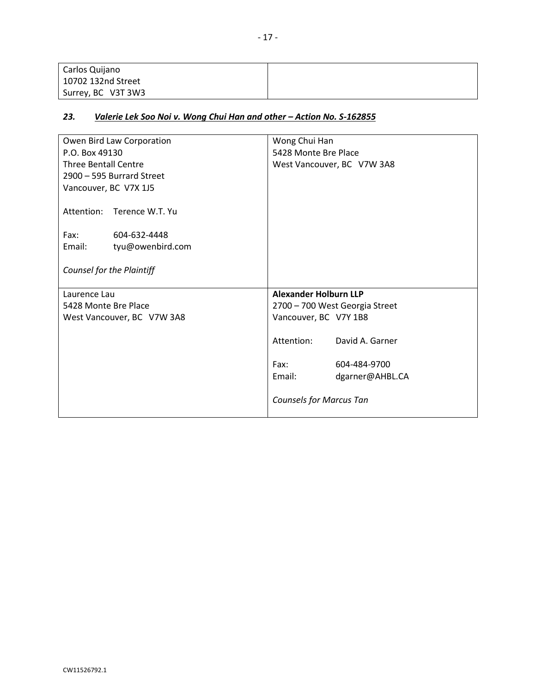| Carlos Quijano     |  |
|--------------------|--|
| 10702 132nd Street |  |
| Surrey, BC V3T 3W3 |  |

### *23. Valerie Lek Soo Noi v. Wong Chui Han and other – Action No. S-162855*

| Owen Bird Law Corporation   | Wong Chui Han                  |  |
|-----------------------------|--------------------------------|--|
| P.O. Box 49130              | 5428 Monte Bre Place           |  |
| <b>Three Bentall Centre</b> | West Vancouver, BC V7W 3A8     |  |
| 2900 - 595 Burrard Street   |                                |  |
| Vancouver, BC V7X 1J5       |                                |  |
| Attention: Terence W.T. Yu  |                                |  |
| Fax:<br>604-632-4448        |                                |  |
| Email:<br>tyu@owenbird.com  |                                |  |
|                             |                                |  |
| Counsel for the Plaintiff   |                                |  |
| Laurence Lau                | <b>Alexander Holburn LLP</b>   |  |
| 5428 Monte Bre Place        | 2700 - 700 West Georgia Street |  |
| West Vancouver, BC V7W 3A8  | Vancouver, BC V7Y 1B8          |  |
|                             | Attention:<br>David A. Garner  |  |
|                             |                                |  |
|                             | Fax:<br>604-484-9700           |  |
|                             | Email:<br>dgarner@AHBL.CA      |  |
|                             | <b>Counsels for Marcus Tan</b> |  |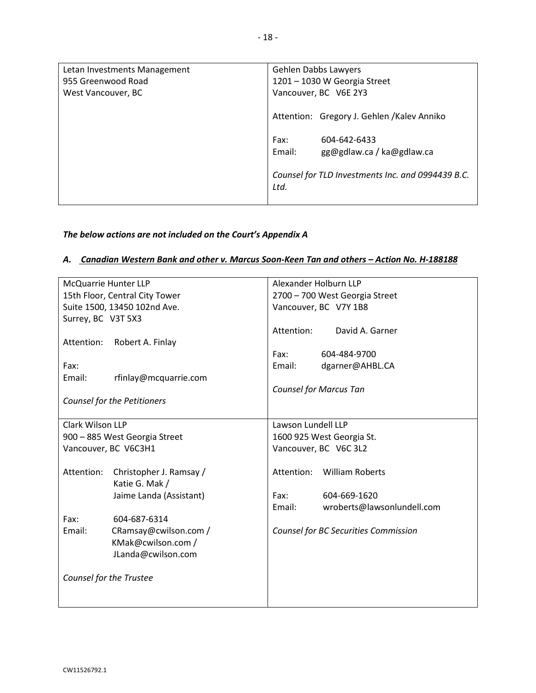| Letan Investments Management<br>955 Greenwood Road | Gehlen Dabbs Lawyers<br>1201 - 1030 W Georgia Street        |  |
|----------------------------------------------------|-------------------------------------------------------------|--|
| West Vancouver, BC                                 | Vancouver, BC V6E 2Y3                                       |  |
|                                                    | Attention: Gregory J. Gehlen / Kalev Anniko                 |  |
|                                                    | Fax:<br>604-642-6433<br>Email:<br>gg@gdlaw.ca / ka@gdlaw.ca |  |
|                                                    | Counsel for TLD Investments Inc. and 0994439 B.C.<br>Ltd.   |  |

## *The below actions are not included on the Court's Appendix A*

#### *A. Canadian Western Bank and other v. Marcus Soon-Keen Tan and others – Action No. H-188188*

| McQuarrie Hunter LLP                  | Alexander Holburn LLP                |  |  |
|---------------------------------------|--------------------------------------|--|--|
| 15th Floor, Central City Tower        | 2700 - 700 West Georgia Street       |  |  |
| Suite 1500, 13450 102nd Ave.          | Vancouver, BC V7Y 1B8                |  |  |
| Surrey, BC V3T 5X3                    |                                      |  |  |
|                                       | Attention:<br>David A. Garner        |  |  |
| Attention:<br>Robert A. Finlay        |                                      |  |  |
|                                       | Fax:<br>604-484-9700                 |  |  |
| Fax:                                  | Email:<br>dgarner@AHBL.CA            |  |  |
| Email:<br>rfinlay@mcquarrie.com       |                                      |  |  |
|                                       | <b>Counsel for Marcus Tan</b>        |  |  |
| <b>Counsel for the Petitioners</b>    |                                      |  |  |
|                                       |                                      |  |  |
| Clark Wilson LLP                      | Lawson Lundell LLP                   |  |  |
| 900 - 885 West Georgia Street         | 1600 925 West Georgia St.            |  |  |
| Vancouver, BC V6C3H1                  | Vancouver, BC V6C 3L2                |  |  |
|                                       |                                      |  |  |
| Attention:<br>Christopher J. Ramsay / | Attention:<br><b>William Roberts</b> |  |  |
| Katie G. Mak /                        |                                      |  |  |
| Jaime Landa (Assistant)               | 604-669-1620<br>Fax:                 |  |  |
|                                       | Email:<br>wroberts@lawsonlundell.com |  |  |
| Fax:<br>604-687-6314                  |                                      |  |  |
| Email:<br>CRamsay@cwilson.com /       | Counsel for BC Securities Commission |  |  |
| KMak@cwilson.com /                    |                                      |  |  |
| JLanda@cwilson.com                    |                                      |  |  |
|                                       |                                      |  |  |
| Counsel for the Trustee               |                                      |  |  |
|                                       |                                      |  |  |
|                                       |                                      |  |  |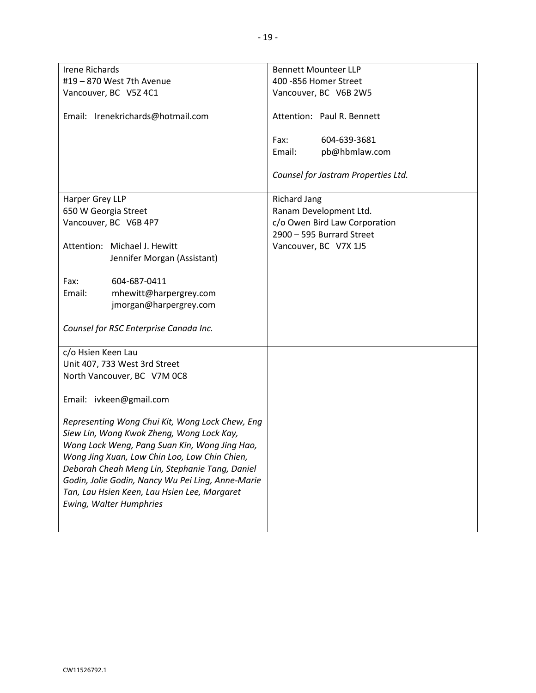| <b>Irene Richards</b>                                                                               | <b>Bennett Mounteer LLP</b>         |  |  |
|-----------------------------------------------------------------------------------------------------|-------------------------------------|--|--|
| #19 - 870 West 7th Avenue                                                                           | 400 -856 Homer Street               |  |  |
| Vancouver, BC V5Z 4C1                                                                               | Vancouver, BC V6B 2W5               |  |  |
|                                                                                                     |                                     |  |  |
| Email: Irenekrichards@hotmail.com                                                                   | Attention: Paul R. Bennett          |  |  |
|                                                                                                     | Fax:<br>604-639-3681                |  |  |
|                                                                                                     | Email:<br>pb@hbmlaw.com             |  |  |
|                                                                                                     |                                     |  |  |
|                                                                                                     | Counsel for Jastram Properties Ltd. |  |  |
| Harper Grey LLP                                                                                     | <b>Richard Jang</b>                 |  |  |
| 650 W Georgia Street                                                                                | Ranam Development Ltd.              |  |  |
| Vancouver, BC V6B 4P7                                                                               | c/o Owen Bird Law Corporation       |  |  |
|                                                                                                     | 2900 - 595 Burrard Street           |  |  |
| Attention: Michael J. Hewitt                                                                        | Vancouver, BC V7X 1J5               |  |  |
| Jennifer Morgan (Assistant)                                                                         |                                     |  |  |
|                                                                                                     |                                     |  |  |
| Fax:<br>604-687-0411                                                                                |                                     |  |  |
| mhewitt@harpergrey.com<br>Email:                                                                    |                                     |  |  |
| jmorgan@harpergrey.com                                                                              |                                     |  |  |
|                                                                                                     |                                     |  |  |
| Counsel for RSC Enterprise Canada Inc.                                                              |                                     |  |  |
| c/o Hsien Keen Lau                                                                                  |                                     |  |  |
| Unit 407, 733 West 3rd Street                                                                       |                                     |  |  |
| North Vancouver, BC V7M 0C8                                                                         |                                     |  |  |
|                                                                                                     |                                     |  |  |
| Email: ivkeen@gmail.com                                                                             |                                     |  |  |
|                                                                                                     |                                     |  |  |
| Representing Wong Chui Kit, Wong Lock Chew, Eng                                                     |                                     |  |  |
| Siew Lin, Wong Kwok Zheng, Wong Lock Kay,                                                           |                                     |  |  |
| Wong Lock Weng, Pang Suan Kin, Wong Jing Hao,                                                       |                                     |  |  |
| Wong Jing Xuan, Low Chin Loo, Low Chin Chien,                                                       |                                     |  |  |
| Deborah Cheah Meng Lin, Stephanie Tang, Daniel<br>Godin, Jolie Godin, Nancy Wu Pei Ling, Anne-Marie |                                     |  |  |
| Tan, Lau Hsien Keen, Lau Hsien Lee, Margaret                                                        |                                     |  |  |
| <b>Ewing, Walter Humphries</b>                                                                      |                                     |  |  |
|                                                                                                     |                                     |  |  |
|                                                                                                     |                                     |  |  |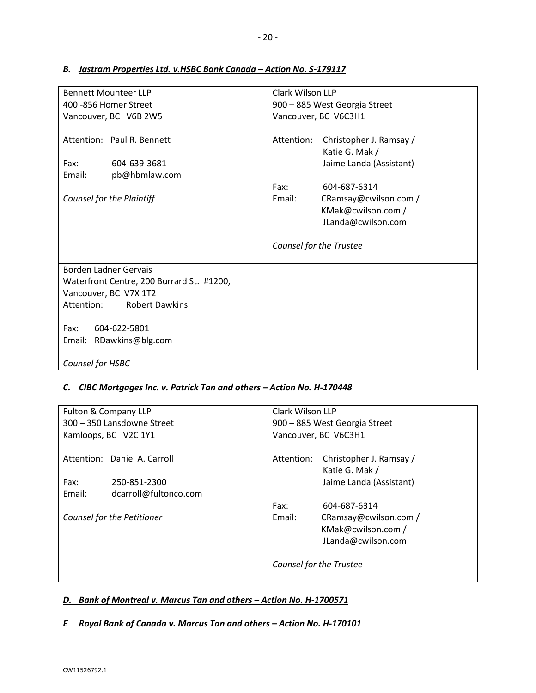| <b>Bennett Mounteer LLP</b>                                                                                                               | Clark Wilson LLP                                                                   |  |
|-------------------------------------------------------------------------------------------------------------------------------------------|------------------------------------------------------------------------------------|--|
| 400 - 856 Homer Street                                                                                                                    | 900 - 885 West Georgia Street                                                      |  |
| Vancouver, BC V6B 2W5                                                                                                                     | Vancouver, BC V6C3H1                                                               |  |
| Attention: Paul R. Bennett<br>604-639-3681<br>Fax:                                                                                        | Christopher J. Ramsay /<br>Attention:<br>Katie G. Mak /<br>Jaime Landa (Assistant) |  |
| Email:<br>pb@hbmlaw.com                                                                                                                   | Fax:<br>604-687-6314                                                               |  |
| Counsel for the Plaintiff                                                                                                                 | Email:<br>CRamsay@cwilson.com /<br>KMak@cwilson.com /<br>JLanda@cwilson.com        |  |
|                                                                                                                                           | Counsel for the Trustee                                                            |  |
| <b>Borden Ladner Gervais</b><br>Waterfront Centre, 200 Burrard St. #1200,<br>Vancouver, BC V7X 1T2<br><b>Robert Dawkins</b><br>Attention: |                                                                                    |  |
| Fax:<br>604-622-5801<br>Email: RDawkins@blg.com                                                                                           |                                                                                    |  |
| Counsel for HSBC                                                                                                                          |                                                                                    |  |

### *B. Jastram Properties Ltd. v.HSBC Bank Canada – Action No. S-179117*

## *C. CIBC Mortgages Inc. v. Patrick Tan and others – Action No. H-170448*

| Fulton & Company LLP |                              | Clark Wilson LLP              |                                           |
|----------------------|------------------------------|-------------------------------|-------------------------------------------|
|                      | 300 - 350 Lansdowne Street   | 900 - 885 West Georgia Street |                                           |
|                      | Kamloops, BC V2C 1Y1         | Vancouver, BC V6C3H1          |                                           |
|                      | Attention: Daniel A. Carroll | Attention:                    | Christopher J. Ramsay /<br>Katie G. Mak / |
| Fax:                 | 250-851-2300                 |                               | Jaime Landa (Assistant)                   |
| Email:               | dcarroll@fultonco.com        |                               |                                           |
|                      |                              | Fax:                          | 604-687-6314                              |
|                      | Counsel for the Petitioner   | Email:                        | CRamsay@cwilson.com /                     |
|                      |                              |                               | KMak@cwilson.com /                        |
|                      |                              |                               | JLanda@cwilson.com                        |
|                      |                              | Counsel for the Trustee       |                                           |

## *D. Bank of Montreal v. Marcus Tan and others – Action No. H-1700571*

## *E Royal Bank of Canada v. Marcus Tan and others – Action No. H-170101*